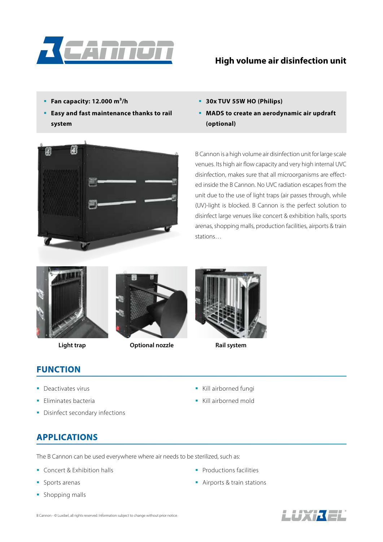

#### **High volume air disinfection unit**

- **Fan capacity: 12.000 m³/h**
- **Easy and fast maintenance thanks to rail system**
- **30x TUV 55W HO (Philips)**
- **MADS to create an aerodynamic air updraft (optional)**



B Cannon is a high volume air disinfection unit for large scale venues. Its high air flow capacity and very high internal UVC disinfection, makes sure that all microorganisms are effected inside the B Cannon. No UVC radiation escapes from the unit due to the use of light traps (air passes through, while (UV)-light is blocked. B Cannon is the perfect solution to disinfect large venues like concert & exhibition halls, sports arenas, shopping malls, production facilities, airports & train stations…





**Light trap Optional nozzle Rail system**



### **FUNCTION**

- Deactivates virus
- **Eliminates bacteria**
- Disinfect secondary infections
- Kill airborned fungi
- Kill airborned mold

### **APPLICATIONS**

The B Cannon can be used everywhere where air needs to be sterilized, such as:

- **Concert & Exhibition halls**
- **Sports arenas**
- **Shopping malls**
- **Productions facilities**
- **Airports & train stations**

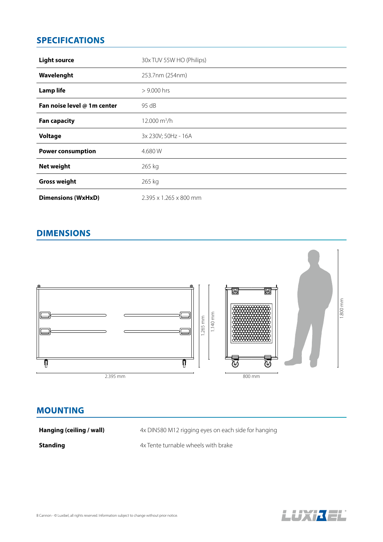# **SPECIFICATIONS**

| <b>Light source</b>         | 30x TUV 55W HO (Philips) |
|-----------------------------|--------------------------|
| Wavelenght                  | 253.7nm (254nm)          |
| <b>Lamp life</b>            | $> 9.000$ hrs            |
| Fan noise level @ 1m center | 95 dB                    |
| <b>Fan capacity</b>         | $12.000 \text{ m}^3/h$   |
| <b>Voltage</b>              | 3x 230V; 50Hz - 16A      |
| <b>Power consumption</b>    | 4.680 W                  |
| Net weight                  | 265 kg                   |
| <b>Gross weight</b>         | 265 kg                   |
| <b>Dimensions (WxHxD)</b>   | 2.395 x 1.265 x 800 mm   |

# **DIMENSIONS**



#### **MOUNTING**

**Hanging (ceiling / wall)** 4x DIN580 M12 rigging eyes on each side for hanging

**Standing 4x** Tente turnable wheels with brake